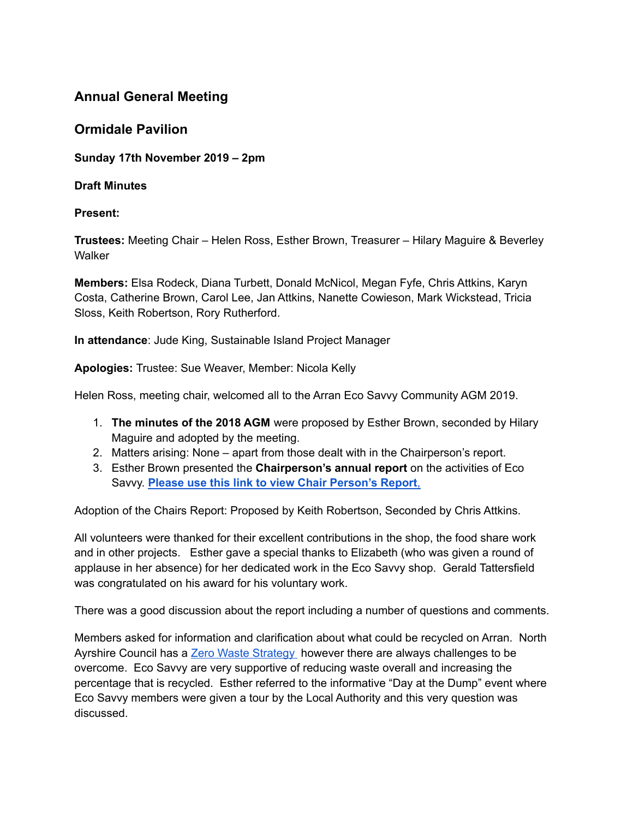# **Annual General Meeting**

## **Ormidale Pavilion**

**Sunday 17th November 2019 – 2pm**

## **Draft Minutes**

## **Present:**

**Trustees:** Meeting Chair – Helen Ross, Esther Brown, Treasurer – Hilary Maguire & Beverley **Walker** 

**Members:** Elsa Rodeck, Diana Turbett, Donald McNicol, Megan Fyfe, Chris Attkins, Karyn Costa, Catherine Brown, Carol Lee, Jan Attkins, Nanette Cowieson, Mark Wickstead, Tricia Sloss, Keith Robertson, Rory Rutherford.

**In attendance**: Jude King, Sustainable Island Project Manager

**Apologies:** Trustee: Sue Weaver, Member: Nicola Kelly

Helen Ross, meeting chair, welcomed all to the Arran Eco Savvy Community AGM 2019.

- 1. **The minutes of the 2018 AGM** were proposed by Esther Brown, seconded by Hilary Maguire and adopted by the meeting.
- 2. Matters arising: None apart from those dealt with in the Chairperson's report.
- 3. Esther Brown presented the **Chairperson's annual report** on the activities of Eco Savvy. **Please use this link to view Chair [Person's](http://arranecosavvy.org.uk/about-us/chairpersons-report/) Report**,

Adoption of the Chairs Report: Proposed by Keith Robertson, Seconded by Chris Attkins.

All volunteers were thanked for their excellent contributions in the shop, the food share work and in other projects. Esther gave a special thanks to Elizabeth (who was given a round of applause in her absence) for her dedicated work in the Eco Savvy shop. Gerald Tattersfield was congratulated on his award for his voluntary work.

There was a good discussion about the report including a number of questions and comments.

Members asked for information and clarification about what could be recycled on Arran. North Ayrshire Council has a Zero Waste [Strategy](https://www.north-ayrshire.gov.uk/Documents/PropertyServices/EnvironmentRelated/waste-strategy.pdf) however there are always challenges to be overcome. Eco Savvy are very supportive of reducing waste overall and increasing the percentage that is recycled. Esther referred to the informative "Day at the Dump" event where Eco Savvy members were given a tour by the Local Authority and this very question was discussed.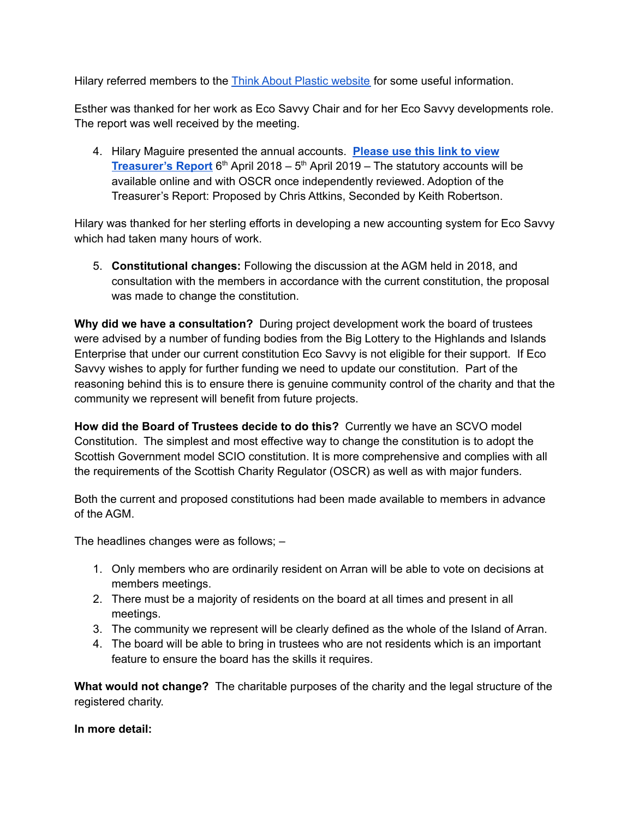Hilary referred members to the Think About Plastic [website](https://www.thinkaboutplastic-arran.co.uk/) for some useful information.

Esther was thanked for her work as Eco Savvy Chair and for her Eco Savvy developments role. The report was well received by the meeting.

4. Hilary Maguire presented the annual accounts. **[Please](http://arranecosavvy.org.uk/about-us/financial-report/) use this link to view [Treasurer's](http://arranecosavvy.org.uk/about-us/financial-report/) Report** 6<sup>th</sup> April 2018 – 5<sup>th</sup> April 2019 – The statutory accounts will be available online and with OSCR once independently reviewed. Adoption of the Treasurer's Report: Proposed by Chris Attkins, Seconded by Keith Robertson.

Hilary was thanked for her sterling efforts in developing a new accounting system for Eco Savvy which had taken many hours of work.

5. **Constitutional changes:** Following the discussion at the AGM held in 2018, and consultation with the members in accordance with the current constitution, the proposal was made to change the constitution.

**Why did we have a consultation?** During project development work the board of trustees were advised by a number of funding bodies from the Big Lottery to the Highlands and Islands Enterprise that under our current constitution Eco Savvy is not eligible for their support. If Eco Savvy wishes to apply for further funding we need to update our constitution. Part of the reasoning behind this is to ensure there is genuine community control of the charity and that the community we represent will benefit from future projects.

**How did the Board of Trustees decide to do this?** Currently we have an SCVO model Constitution. The simplest and most effective way to change the constitution is to adopt the Scottish Government model SCIO constitution. It is more comprehensive and complies with all the requirements of the Scottish Charity Regulator (OSCR) as well as with major funders.

Both the current and proposed constitutions had been made available to members in advance of the AGM.

The headlines changes were as follows; –

- 1. Only members who are ordinarily resident on Arran will be able to vote on decisions at members meetings.
- 2. There must be a majority of residents on the board at all times and present in all meetings.
- 3. The community we represent will be clearly defined as the whole of the Island of Arran.
- 4. The board will be able to bring in trustees who are not residents which is an important feature to ensure the board has the skills it requires.

**What would not change?** The charitable purposes of the charity and the legal structure of the registered charity.

**In more detail:**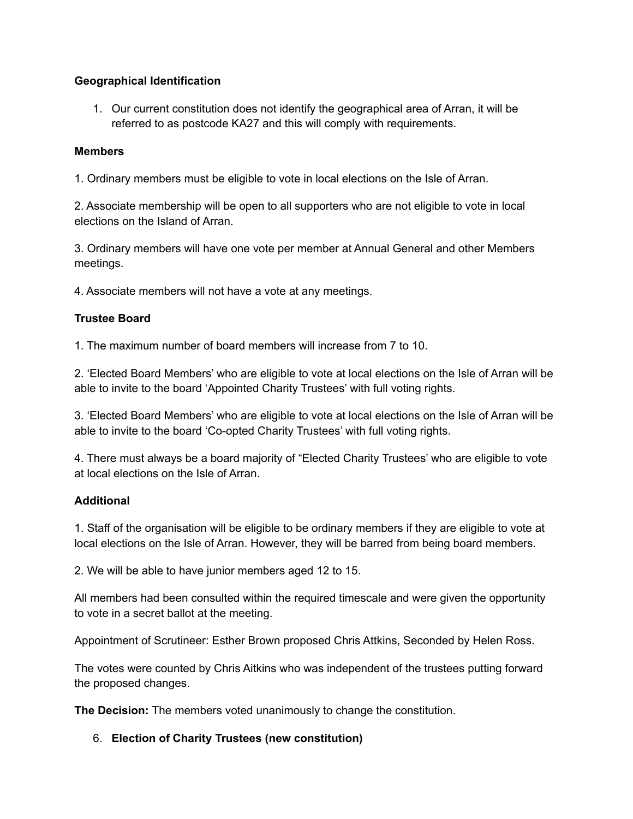### **Geographical Identification**

1. Our current constitution does not identify the geographical area of Arran, it will be referred to as postcode KA27 and this will comply with requirements.

#### **Members**

1. Ordinary members must be eligible to vote in local elections on the Isle of Arran.

2. Associate membership will be open to all supporters who are not eligible to vote in local elections on the Island of Arran.

3. Ordinary members will have one vote per member at Annual General and other Members meetings.

4. Associate members will not have a vote at any meetings.

## **Trustee Board**

1. The maximum number of board members will increase from 7 to 10.

2. 'Elected Board Members' who are eligible to vote at local elections on the Isle of Arran will be able to invite to the board 'Appointed Charity Trustees' with full voting rights.

3. 'Elected Board Members' who are eligible to vote at local elections on the Isle of Arran will be able to invite to the board 'Co-opted Charity Trustees' with full voting rights.

4. There must always be a board majority of "Elected Charity Trustees' who are eligible to vote at local elections on the Isle of Arran.

## **Additional**

1. Staff of the organisation will be eligible to be ordinary members if they are eligible to vote at local elections on the Isle of Arran. However, they will be barred from being board members.

2. We will be able to have junior members aged 12 to 15.

All members had been consulted within the required timescale and were given the opportunity to vote in a secret ballot at the meeting.

Appointment of Scrutineer: Esther Brown proposed Chris Attkins, Seconded by Helen Ross.

The votes were counted by Chris Aitkins who was independent of the trustees putting forward the proposed changes.

**The Decision:** The members voted unanimously to change the constitution.

## 6. **Election of Charity Trustees (new constitution)**